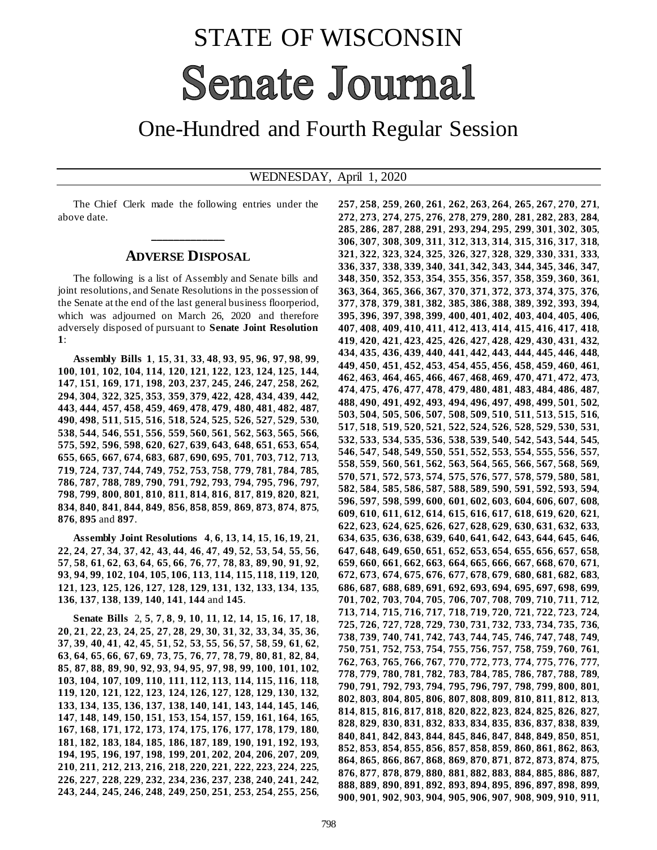## STATE OF WISCONSIN **Senate Journal**

## One-Hundred and Fourth Regular Session

## WEDNESDAY, April 1, 2020

The Chief Clerk made the following entries under the above date.

## **\_\_\_\_\_\_\_\_\_\_\_\_\_ ADVERSE DISPOSAL**

The following is a list of Assembly and Senate bills and joint resolutions, and Senate Resolutions in the possession of the Senate at the end of the last general business floorperiod, which was adjourned on March 26, 2020 and therefore adversely disposed of pursuant to **Senate Joint Resolution**  :

**Assembly Bills 1**, **15**, **31**, **33**, **48**, **93**, **95**, **96**, **97**, **98**, **99**, , **101**, **102**, **104**, **114**, **120**, **121**, **122**, **123**, **124**, **125**, **144**, , **151**, **169**, **171**, **198**, **203**, **237**, **245**, **246**, **247**, **258**, **262**, , **304**, **322**, **325**, **353**, **359**, **379**, **422**, **428**, **434**, **439**, **442**, , **444**, **457**, **458**, **459**, **469**, **478**, **479**, **480**, **481**, **482**, **487**, , **498**, **511**, **515**, **516**, **518**, **524**, **525**, **526**, **527**, **529**, **530**, , **544**, **546**, **551**, **556**, **559**, **560**, **561**, **562**, **563**, **565**, **566**, , **592**, **596**, **598**, **620**, **627**, **639**, **643**, **648**, **651**, **653**, **654**, , **665**, **667**, **674**, **683**, **687**, **690**, **695**, **701**, **703**, **712**, **713**, , **724**, **737**, **744**, **749**, **752**, **753**, **758**, **779**, **781**, **784**, **785**, , **787**, **788**, **789**, **790**, **791**, **792**, **793**, **794**, **795**, **796**, **797**, , **799**, **800**, **801**, **810**, **811**, **814**, **816**, **817**, **819**, **820**, **821**, , **840**, **841**, **844**, **849**, **856**, **858**, **859**, **869**, **873**, **874**, **875**, , **895** and **897**.

**Assembly Joint Resolutions 4**, **6**, **13**, **14**, **15**, **16**, **19**, **21**, , **24**, **27**, **34**, **37**, **42**, **43**, **44**, **46**, **47**, **49**, **52**, **53**, **54**, **55**, **56**, , **58**, **61**, **62**, **63**, **64**, **65**, **66**, **76**, **77**, **78**, **83**, **89**, **90**, **91**, **92**, , **94**, **99**, **102**, **104**, **105**, **106**, **113**, **114**, **115**, **118**, **119**, **120**, , **123**, **125**, **126**, **127**, **128**, **129**, **131**, **132**, **133**, **134**, **135**, , **137**, **138**, **139**, **140**, **141**, **144** and **145**.

**Senate Bills** 2, **5**, **7**, **8**, **9**, **10**, **11**, **12**, **14**, **15**, **16**, **17**, **18**, , **21**, **22**, **23**, **24**, **25**, **27**, **28**, **29**, **30**, **31**, **32**, **33**, **34**, **35**, **36**, , **39**, **40**, **41**, **42**, **45**, **51**, **52**, **53**, **55**, **56**, **57**, **58**, **59**, **61**, **62**, , **64**, **65**, **66**, **67**, **69**, **73**, **75**, **76**, **77**, **78**, **79**, **80**, **81**, **82**, **84**, , **87**, **88**, **89**, **90**, **92**, **93**, **94**, **95**, **97**, **98**, **99**, **100**, **101**, **102**, , **104**, **107**, **109**, **110**, **111**, **112**, **113**, **114**, **115**, **116**, **118**, , **120**, **121**, **122**, **123**, **124**, **126**, **127**, **128**, **129**, **130**, **132**, , **134**, **135**, **136**, **137**, **138**, **140**, **141**, **143**, **144**, **145**, **146**, , **148**, **149**, **150**, **151**, **153**, **154**, **157**, **159**, **161**, **164**, **165**, , **168**, **171**, **172**, **173**, **174**, **175**, **176**, **177**, **178**, **179**, **180**, , **182**, **183**, **184**, **185**, **186**, **187**, **189**, **190**, **191**, **192**, **193**, , **195**, **196**, **197**, **198**, **199**, **201**, **202**, **204**, **206**, **207**, **209**, , **211**, **212**, **213**, **216**, **218**, **220**, **221**, **222**, **223**, **224**, **225**, , **227**, **228**, **229**, **232**, **234**, **236**, **237**, **238**, **240**, **241**, **242**, , **244**, **245**, **246**, **248**, **249**, **250**, **251**, **253**, **254**, **255**, **256**, , **258**, **259**, **260**, **261**, **262**, **263**, **264**, **265**, **267**, **270**, **271**, , **273**, **274**, **275**, **276**, **278**, **279**, **280**, **281**, **282**, **283**, **284**, , **286**, **287**, **288**, **291**, **293**, **294**, **295**, **299**, **301**, **302**, **305**, , **307**, **308**, **309**, **311**, **312**, **313**, **314**, **315**, **316**, **317**, **318**, , **322**, **323**, **324**, **325**, **326**, **327**, **328**, **329**, **330**, **331**, **333**, , **337**, **338**, **339**, **340**, **341**, **342**, **343**, **344**, **345**, **346**, **347**, , **350**, **352**, **353**, **354**, **355**, **356**, **357**, **358**, **359**, **360**, **361**, , **364**, **365**, **366**, **367**, **370**, **371**, **372**, **373**, **374**, **375**, **376**, , **378**, **379**, **381**, **382**, **385**, **386**, **388**, **389**, **392**, **393**, **394**, , **396**, **397**, **398**, **399**, **400**, **401**, **402**, **403**, **404**, **405**, **406**, , **408**, **409**, **410**, **411**, **412**, **413**, **414**, **415**, **416**, **417**, **418**, , **420**, **421**, **423**, **425**, **426**, **427**, **428**, **429**, **430**, **431**, **432**, , **435**, **436**, **439**, **440**, **441**, **442**, **443**, **444**, **445**, **446**, **448**, , **450**, **451**, **452**, **453**, **454**, **455**, **456**, **458**, **459**, **460**, **461**, , **463**, **464**, **465**, **466**, **467**, **468**, **469**, **470**, **471**, **472**, **473**, , **475**, **476**, **477**, **478**, **479**, **480**, **481**, **483**, **484**, **486**, **487**, , **490**, **491**, **492**, **493**, **494**, **496**, **497**, **498**, **499**, **501**, **502**, , **504**, **505**, **506**, **507**, **508**, **509**, **510**, **511**, **513**, **515**, **516**, , **518**, **519**, **520**, **521**, **522**, **524**, **526**, **528**, **529**, **530**, **531**, , **533**, **534**, **535**, **536**, **538**, **539**, **540**, **542**, **543**, **544**, **545**, , **547**, **548**, **549**, **550**, **551**, **552**, **553**, **554**, **555**, **556**, **557**, , **559**, **560**, **561**, **562**, **563**, **564**, **565**, **566**, **567**, **568**, **569**, , **571**, **572**, **573**, **574**, **575**, **576**, **577**, **578**, **579**, **580**, **581**, , **584**, **585**, **586**, **587**, **588**, **589**, **590**, **591**, **592**, **593**, **594**, , **597**, **598**, **599**, **600**, **601**, **602**, **603**, **604**, **606**, **607**, **608**, , **610**, **611**, **612**, **614**, **615**, **616**, **617**, **618**, **619**, **620**, **621**, , **623**, **624**, **625**, **626**, **627**, **628**, **629**, **630**, **631**, **632**, **633**, , **635**, **636**, **638**, **639**, **640**, **641**, **642**, **643**, **644**, **645**, **646**, , **648**, **649**, **650**, **651**, **652**, **653**, **654**, **655**, **656**, **657**, **658**, , **660**, **661**, **662**, **663**, **664**, **665**, **666**, **667**, **668**, **670**, **671**, , **673**, **674**, **675**, **676**, **677**, **678**, **679**, **680**, **681**, **682**, **683**, , **687**, **688**, **689**, **691**, **692**, **693**, **694**, **695**, **697**, **698**, **699**, , **702**, **703**, **704**, **705**, **706**, **707**, **708**, **709**, **710**, **711**, **712**, , **714**, **715**, **716**, **717**, **718**, **719**, **720**, **721**, **722**, **723**, **724**, , **726**, **727**, **728**, **729**, **730**, **731**, **732**, **733**, **734**, **735**, **736**, , **739**, **740**, **741**, **742**, **743**, **744**, **745**, **746**, **747**, **748**, **749**, , **751**, **752**, **753**, **754**, **755**, **756**, **757**, **758**, **759**, **760**, **761**, , **763**, **765**, **766**, **767**, **770**, **772**, **773**, **774**, **775**, **776**, **777**, , **779**, **780**, **781**, **782**, **783**, **784**, **785**, **786**, **787**, **788**, **789**, , **791**, **792**, **793**, **794**, **795**, **796**, **797**, **798**, **799**, **800**, **801**, , **803**, **804**, **805**, **806**, **807**, **808**, **809**, **810**, **811**, **812**, **813**, , **815**, **816**, **817**, **818**, **820**, **822**, **823**, **824**, **825**, **826**, **827**, , **829**, **830**, **831**, **832**, **833**, **834**, **835**, **836**, **837**, **838**, **839**, , **841**, **842**, **843**, **844**, **845**, **846**, **847**, **848**, **849**, **850**, **851**, , **853**, **854**, **855**, **856**, **857**, **858**, **859**, **860**, **861**, **862**, **863**, , **865**, **866**, **867**, **868**, **869**, **870**, **871**, **872**, **873**, **874**, **875**, , **877**, **878**, **879**, **880**, **881**, **882**, **883**, **884**, **885**, **886**, **887**, , **889**, **890**, **891**, **892**, **893**, **894**, **895**, **896**, **897**, **898**, **899**, , **901**, **902**, **903**, **904**, **905**, **906**, **907**, **908**, **909**, **910**, **911**,